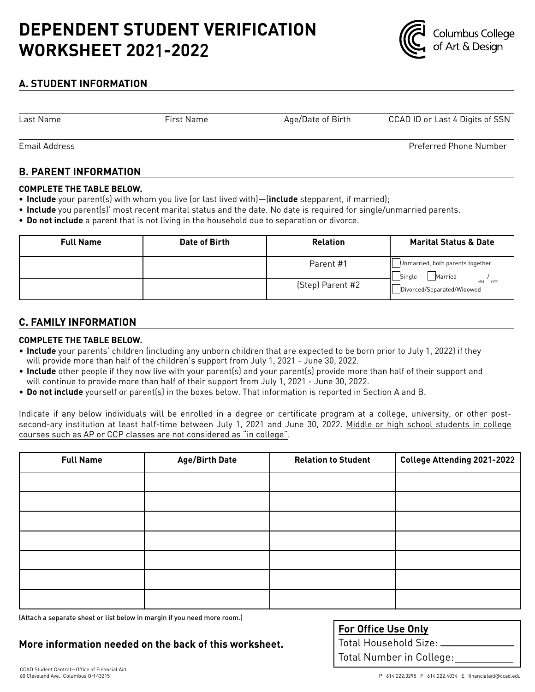# **DEPENDENT STUDENT VERIFICATION WORKSHEET 202**1**-202**2



## **A. STUDENT INFORMATION**

Last Name

First Name Age/Date of Birth CCAD ID or Last 4 Digits of SSN

Preferred Phone Number

Email Address

## **B. PARENT INFORMATION**

#### **COMPLETE THE TABLE BELOW.**

- **• Include** your parent(s) with whom you live (or last lived with)—(**include** stepparent, if married);
- **• Include** you parent(s)' most recent marital status and the date. No date is required for single/unmarried parents.
- **• Do not include** a parent that is not living in the household due to separation or divorce.

| <b>Full Name</b> | Date of Birth | <b>Relation</b>  | <b>Marital Status &amp; Date</b>                      |
|------------------|---------------|------------------|-------------------------------------------------------|
|                  |               | Parent #1        | Unmarried, both parents together<br>Married<br>Single |
|                  |               | (Step) Parent #2 | MM YYYY<br>Divorced/Separated/Widowed                 |

## **C. FAMILY INFORMATION**

### **COMPLETE THE TABLE BELOW.**

- **Include** your parents' children (including any unborn children that are expected to be born prior to July 1, 2022) if they will provide more than half of the children's support from July 1, 2021 - June 30, 2022.
- **Include** other people if they now live with your parent(s) and your parent(s) provide more than half of their support and will continue to provide more than half of their support from July 1, 2021 - June 30, 2022.
- **Do not include** yourself or parent(s) in the boxes below. That information is reported in Section A and B.

Indicate if any below individuals will be enrolled in a degree or certificate program at a college, university, or other postsecond-ary institution at least half-time between July 1, 2021 and June 30, 2022. Middle or high school students in college courses such as AP or CCP classes are not considered as "in college".

| <b>Full Name</b> | <b>Age/Birth Date</b> | <b>Relation to Student</b> | College Attending 2021-2022 |
|------------------|-----------------------|----------------------------|-----------------------------|
|                  |                       |                            |                             |
|                  |                       |                            |                             |
|                  |                       |                            |                             |
|                  |                       |                            |                             |
|                  |                       |                            |                             |
|                  |                       |                            |                             |
|                  |                       |                            |                             |

(Attach a separate sheet or list below in margin if you need more room.)

**More information needed on the back of this worksheet.**

| <u>For Office Use Only</u>           |  |  |
|--------------------------------------|--|--|
| $\mid$ Total Household Size: $\perp$ |  |  |
| Total Number in College:             |  |  |
|                                      |  |  |